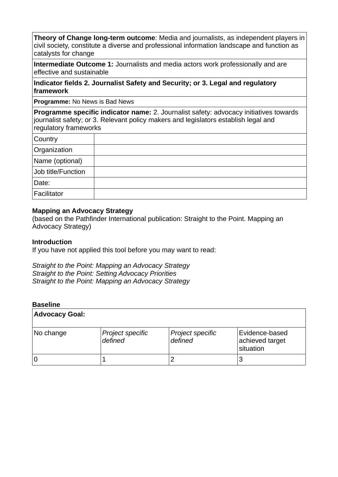**Theory of Change long-term outcome**: Media and journalists, as independent players in civil society, constitute a diverse and professional information landscape and function as catalysts for change

**Intermediate Outcome 1:** Journalists and media actors work professionally and are effective and sustainable

### **Indicator fields 2. Journalist Safety and Security; or 3. Legal and regulatory framework**

**Programme:** No News is Bad News

**Programme specific indicator name:** 2. Journalist safety: advocacy initiatives towards journalist safety; or 3. Relevant policy makers and legislators establish legal and regulatory frameworks

| Country            |  |
|--------------------|--|
| Organization       |  |
| Name (optional)    |  |
| Job title/Function |  |
| Date:              |  |
| Facilitator        |  |

### **Mapping an Advocacy Strategy**

(based on the Pathfinder International publication: Straight to the Point. Mapping an Advocacy Strategy)

#### **Introduction**

If you have not applied this tool before you may want to read:

*Straight to the Point: Mapping an Advocacy Strategy Straight to the Point: Setting Advocacy Priorities Straight to the Point: Mapping an Advocacy Strategy*

#### **Baseline**

| <b>Advocacy Goal:</b> |                             |                             |                                                |
|-----------------------|-----------------------------|-----------------------------|------------------------------------------------|
| No change             | Project specific<br>defined | Project specific<br>defined | Evidence-based<br>achieved target<br>situation |
|                       |                             |                             |                                                |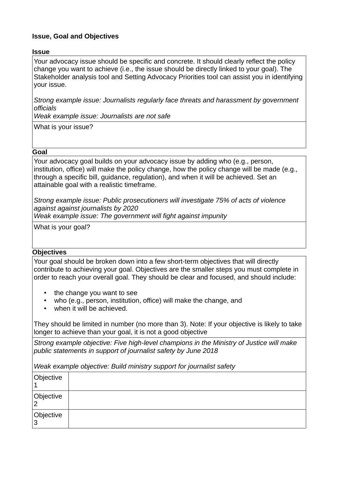## **Issue, Goal and Objectives**

### **Issue**

Your advocacy issue should be specific and concrete. It should clearly reflect the policy change you want to achieve (i.e., the issue should be directly linked to your goal). The Stakeholder analysis tool and Setting Advocacy Priorities tool can assist you in identifying your issue.

*Strong example issue: Journalists regularly face threats and harassment by government officials* 

*Weak example issue: Journalists are not safe*

What is your issue?

#### **Goal**

Your advocacy goal builds on your advocacy issue by adding who (e.g., person, institution, office) will make the policy change, how the policy change will be made (e.g., through a specific bill, guidance, regulation), and when it will be achieved. Set an attainable goal with a realistic timeframe.

*Strong example issue: Public prosecutioners will investigate 75% of acts of violence against against journalists by 2020*

*Weak example issue: The government will fight against impunity*

What is your goal?

### **Objectives**

Your goal should be broken down into a few short-term objectives that will directly contribute to achieving your goal. Objectives are the smaller steps you must complete in order to reach your overall goal. They should be clear and focused, and should include:

- the change you want to see
- who (e.g., person, institution, office) will make the change, and
- when it will be achieved.

They should be limited in number (no more than 3). Note: If your objective is likely to take longer to achieve than your goal, it is not a good objective

*Strong example objective: Five high-level champions in the Ministry of Justice will make public statements in support of journalist safety by June 2018* 

*Weak example objective: Build ministry support for journalist safety*

| Objective           |  |
|---------------------|--|
| Objective<br>◠      |  |
| Objective<br>っ<br>ت |  |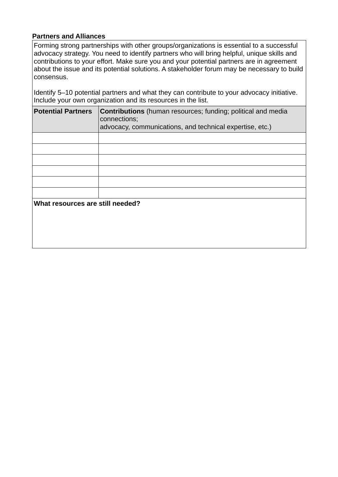## **Partners and Alliances**

Forming strong partnerships with other groups/organizations is essential to a successful advocacy strategy. You need to identify partners who will bring helpful, unique skills and contributions to your effort. Make sure you and your potential partners are in agreement about the issue and its potential solutions. A stakeholder forum may be necessary to build consensus.

Identify 5–10 potential partners and what they can contribute to your advocacy initiative. Include your own organization and its resources in the list.

| <b>Potential Partners</b>        | <b>Contributions</b> (human resources; funding; political and media<br>connections;<br>advocacy, communications, and technical expertise, etc.) |  |  |
|----------------------------------|-------------------------------------------------------------------------------------------------------------------------------------------------|--|--|
|                                  |                                                                                                                                                 |  |  |
|                                  |                                                                                                                                                 |  |  |
|                                  |                                                                                                                                                 |  |  |
|                                  |                                                                                                                                                 |  |  |
|                                  |                                                                                                                                                 |  |  |
|                                  |                                                                                                                                                 |  |  |
| What resources are still needed? |                                                                                                                                                 |  |  |
|                                  |                                                                                                                                                 |  |  |
|                                  |                                                                                                                                                 |  |  |
|                                  |                                                                                                                                                 |  |  |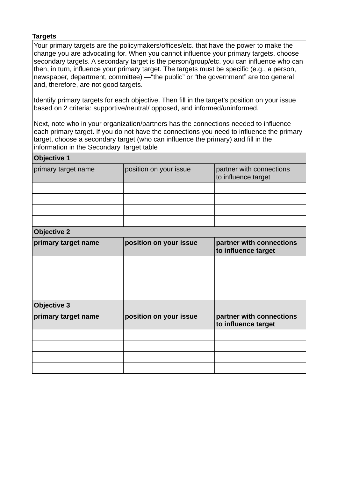### **Targets**

Your primary targets are the policymakers/offices/etc. that have the power to make the change you are advocating for. When you cannot influence your primary targets, choose secondary targets. A secondary target is the person/group/etc. you can influence who can then, in turn, influence your primary target. The targets must be specific (e.g., a person, newspaper, department, committee) —"the public" or "the government" are too general and, therefore, are not good targets.

Identify primary targets for each objective. Then fill in the target's position on your issue based on 2 criteria: supportive/neutral/ opposed, and informed/uninformed.

Next, note who in your organization/partners has the connections needed to influence each primary target. If you do not have the connections you need to influence the primary target, choose a secondary target (who can influence the primary) and fill in the information in the Secondary Target table

| <b>Objective 1</b>  |                        |                                                 |  |  |
|---------------------|------------------------|-------------------------------------------------|--|--|
| primary target name | position on your issue | partner with connections<br>to influence target |  |  |
|                     |                        |                                                 |  |  |
|                     |                        |                                                 |  |  |
|                     |                        |                                                 |  |  |
|                     |                        |                                                 |  |  |
| <b>Objective 2</b>  |                        |                                                 |  |  |
| primary target name | position on your issue | partner with connections<br>to influence target |  |  |
|                     |                        |                                                 |  |  |
|                     |                        |                                                 |  |  |
|                     |                        |                                                 |  |  |
|                     |                        |                                                 |  |  |
| <b>Objective 3</b>  |                        |                                                 |  |  |
| primary target name | position on your issue | partner with connections<br>to influence target |  |  |
|                     |                        |                                                 |  |  |
|                     |                        |                                                 |  |  |
|                     |                        |                                                 |  |  |
|                     |                        |                                                 |  |  |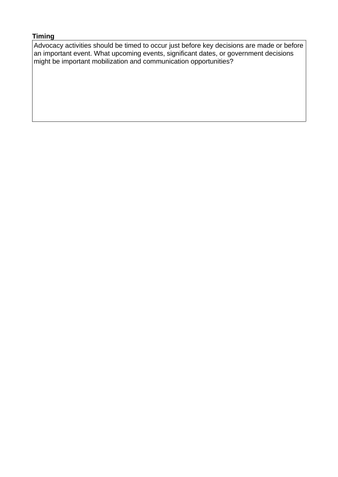# **Timing**

Advocacy activities should be timed to occur just before key decisions are made or before an important event. What upcoming events, significant dates, or government decisions might be important mobilization and communication opportunities?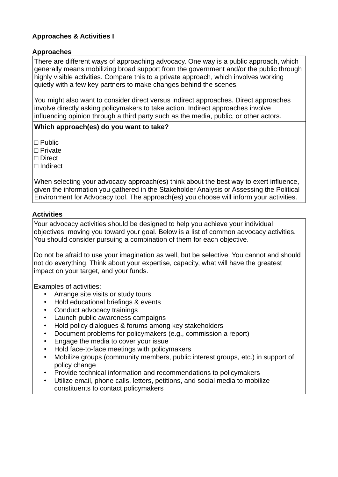# **Approaches & Activities I**

## **Approaches**

There are different ways of approaching advocacy. One way is a public approach, which generally means mobilizing broad support from the government and/or the public through highly visible activities. Compare this to a private approach, which involves working quietly with a few key partners to make changes behind the scenes.

You might also want to consider direct versus indirect approaches. Direct approaches involve directly asking policymakers to take action. Indirect approaches involve influencing opinion through a third party such as the media, public, or other actors.

## **Which approach(es) do you want to take?**

 $\Box$  Public

□ Private

□ Direct

□ Indirect

When selecting your advocacy approach(es) think about the best way to exert influence, given the information you gathered in the Stakeholder Analysis or Assessing the Political Environment for Advocacy tool. The approach(es) you choose will inform your activities.

## **Activities**

Your advocacy activities should be designed to help you achieve your individual objectives, moving you toward your goal. Below is a list of common advocacy activities. You should consider pursuing a combination of them for each objective.

Do not be afraid to use your imagination as well, but be selective. You cannot and should not do everything. Think about your expertise, capacity, what will have the greatest impact on your target, and your funds.

Examples of activities:

- Arrange site visits or study tours
- Hold educational briefings & events
- Conduct advocacy trainings
- Launch public awareness campaigns
- Hold policy dialogues & forums among key stakeholders
- Document problems for policymakers (e.g., commission a report)
- Engage the media to cover your issue
- Hold face-to-face meetings with policymakers
- Mobilize groups (community members, public interest groups, etc.) in support of policy change
- Provide technical information and recommendations to policymakers
- Utilize email, phone calls, letters, petitions, and social media to mobilize constituents to contact policymakers